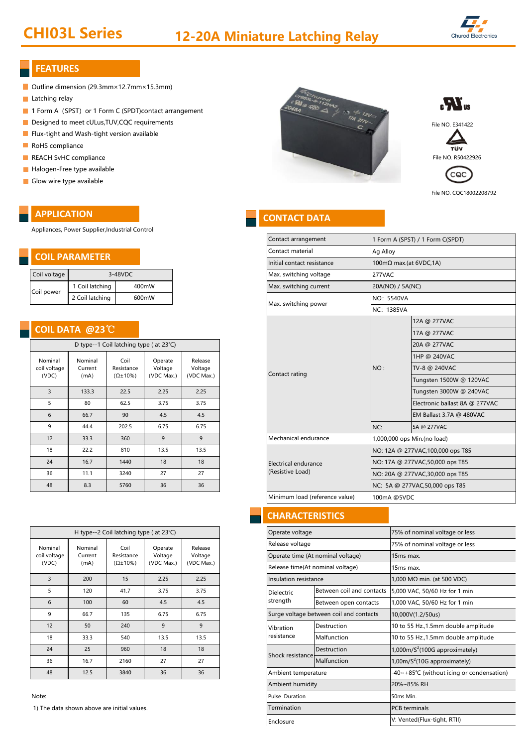## CHI03L Series 12-20A Miniature Latching Relay



## **FEATURES**

- Outline dimension (29.3mm×12.7mm×15.3mm)
- **Latching relay**
- 1 Form A (SPST) or 1 Form C (SPDT)contact arrangement
- 
- Flux-tight and Wash-tight version available
- RoHS compliance
- 
- Halogen-Free type available
- Glow wire type available

## **APPLICATION**

Appliances, Power Supplier,Industrial Control

## **COIL PARAMETER**

| Coil voltage | $3-48$ VDC      |       |  |  |  |
|--------------|-----------------|-------|--|--|--|
| Coil power   | 1 Coil latching | 400mW |  |  |  |
|              | 2 Coil latching | 600mW |  |  |  |

## **COIL DATA @23**℃

| D type--1 Coil latching type (at 23°C) |                            |                                           |                                  |                                  |
|----------------------------------------|----------------------------|-------------------------------------------|----------------------------------|----------------------------------|
| Nominal<br>coil voltage<br>(VDC)       | Nominal<br>Current<br>(mA) | Coil<br>Resistance<br>$(\Omega \pm 10\%)$ | Operate<br>Voltage<br>(VDC Max.) | Release<br>Voltage<br>(VDC Max.) |
| 3                                      | 133.3                      | 22.5                                      | 2.25                             | 2.25                             |
| 5                                      | 80                         | 62.5                                      | 3.75                             | 3.75                             |
| 6                                      | 66.7                       | 90                                        | 4.5                              | 4.5                              |
| 9                                      | 44.4                       | 202.5                                     | 6.75                             | 6.75                             |
| 12                                     | 33.3                       | 360                                       | 9                                | 9                                |
| 18                                     | 22.2                       | 810                                       | 13.5                             | 13.5                             |
| 24                                     | 16.7                       | 1440                                      | 18                               | 18                               |
| 36                                     | 11.1                       | 3240                                      | 27                               | 27                               |
| 48                                     | 8.3                        | 5760                                      | 36                               | 36                               |

| H type--2 Coil latching type ( at 23°C) |                            |                                           |                                  |                                  |  |  |
|-----------------------------------------|----------------------------|-------------------------------------------|----------------------------------|----------------------------------|--|--|
| Nominal<br>coil voltage<br>(VDC)        | Nominal<br>Current<br>(mA) | Coil<br>Resistance<br>$(\Omega \pm 10\%)$ | Operate<br>Voltage<br>(VDC Max.) | Release<br>Voltage<br>(VDC Max.) |  |  |
| 3                                       | 200                        | 15                                        | 2.25                             | 2.25                             |  |  |
| 5                                       | 120                        | 41.7                                      | 3.75                             | 3.75                             |  |  |
| 6                                       | 100                        | 60                                        | 4.5                              | 4.5                              |  |  |
| 9                                       | 66.7                       | 135                                       | 6.75                             | 6.75                             |  |  |
| 12                                      | 50                         | 240                                       | 9                                | 9                                |  |  |
| 18                                      | 33.3                       | 540                                       | 13.5                             | 13.5                             |  |  |
| 24                                      | 25                         | 960                                       | 18                               | 18                               |  |  |
| 36                                      | 16.7                       | 2160                                      | 27                               | 27                               |  |  |
| 48                                      | 12.5                       | 3840                                      | 36                               | 36                               |  |  |

Note:

1) The data shown above are initial values.





τüν



File NO. CQC18002208792

## **CONTACT DATA**

| Contact arrangement            |                                   | 1 Form A (SPST) / 1 Form C(SPDT) |  |  |  |
|--------------------------------|-----------------------------------|----------------------------------|--|--|--|
| Contact material               | Ag Alloy                          |                                  |  |  |  |
| Initial contact resistance     | 100mΩ max.(at 6VDC,1A)            |                                  |  |  |  |
| Max. switching voltage         | 277VAC                            |                                  |  |  |  |
| Max. switching current         | 20A(NO) / 5A(NC)                  |                                  |  |  |  |
| Max. switching power           | NO: 5540VA                        |                                  |  |  |  |
|                                | NC: 1385VA                        |                                  |  |  |  |
|                                |                                   | 12A @ 277VAC                     |  |  |  |
|                                |                                   | 17A @ 277VAC                     |  |  |  |
|                                |                                   | 20A @ 277VAC                     |  |  |  |
|                                |                                   | 1HP @ 240VAC                     |  |  |  |
|                                | NO:                               | TV-8 @ 240VAC                    |  |  |  |
| Contact rating                 |                                   | Tungsten 1500W @ 120VAC          |  |  |  |
|                                |                                   | Tungsten 3000W @ 240VAC          |  |  |  |
|                                |                                   | Electronic ballast 8A @ 277VAC   |  |  |  |
|                                |                                   | EM Ballast 3.7A @ 480VAC         |  |  |  |
|                                | NC:                               | 5A @ 277VAC                      |  |  |  |
| Mechanical endurance           | 1,000,000 ops Min.(no load)       |                                  |  |  |  |
|                                | NO: 12A @ 277VAC, 100,000 ops T85 |                                  |  |  |  |
| Electrical endurance           | NO: 17A @ 277VAC,50,000 ops T85   |                                  |  |  |  |
| (Resistive Load)               | NO: 20A @ 277VAC,30,000 ops T85   |                                  |  |  |  |
|                                | NC: 5A @ 277VAC,50,000 ops T85    |                                  |  |  |  |
| Minimum load (reference value) | 100mA @5VDC                       |                                  |  |  |  |
|                                |                                   |                                  |  |  |  |

## **CHARACTERISTICS**

| Operate voltage       |                                                            | 75% of nominal voltage or less                |  |  |  |
|-----------------------|------------------------------------------------------------|-----------------------------------------------|--|--|--|
| Release voltage       |                                                            | 75% of nominal voltage or less                |  |  |  |
|                       | Operate time (At nominal voltage)<br>15 <sub>ms</sub> max. |                                               |  |  |  |
|                       | Release time(At nominal voltage)<br>15ms max.              |                                               |  |  |  |
| Insulation resistance |                                                            | 1,000 MΩ min. (at 500 VDC)                    |  |  |  |
| Dielectric            | Between coil and contacts                                  | 5,000 VAC, 50/60 Hz for 1 min                 |  |  |  |
| strength              | Between open contacts                                      | 1,000 VAC, 50/60 Hz for 1 min                 |  |  |  |
|                       | Surge voltage between coil and contacts                    | 10,000V(1.2/50us)                             |  |  |  |
| Vibration             | Destruction                                                | 10 to 55 Hz., 1.5mm double amplitude          |  |  |  |
| resistance            | Malfunction                                                | 10 to 55 Hz., 1.5mm double amplitude          |  |  |  |
| Shock resistance      | Destruction                                                | $1,000$ m/S <sup>2</sup> (100G approximately) |  |  |  |
|                       | Malfunction                                                | 1,00m/S <sup>2</sup> (10G approximately)      |  |  |  |
| Ambient temperature   |                                                            | -40~+85°C (without icing or condensation)     |  |  |  |
| Ambient humidity      |                                                            | 20%~85% RH                                    |  |  |  |
| Pulse Duration        |                                                            | 50ms Min.                                     |  |  |  |
| Termination           |                                                            | <b>PCB</b> terminals                          |  |  |  |
| Enclosure             |                                                            | V: Vented(Flux-tight, RTII)                   |  |  |  |
|                       |                                                            |                                               |  |  |  |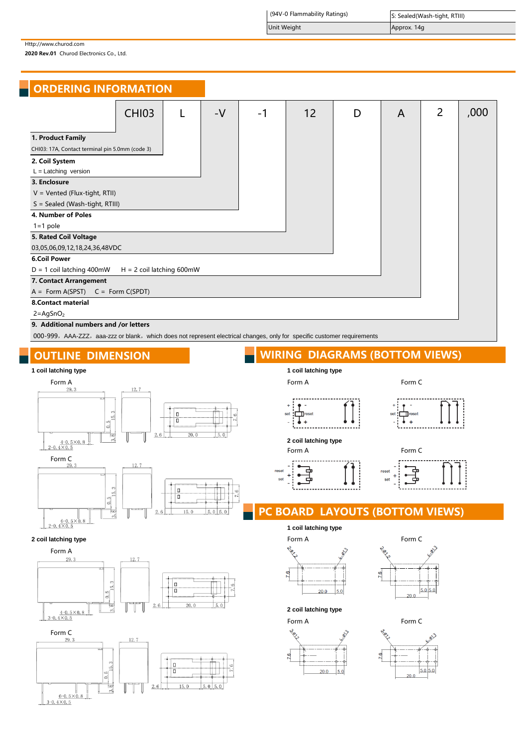(94V-0 Flammability Ratings)

Unit Weight **Approx.** 14g

Http://www.churod.com

2020 Rev.01 Churod Electronics Co., Ltd.

| <b>ORDERING INFORMATION</b>                                          |                             |      |      |    |   |   |                |      |
|----------------------------------------------------------------------|-----------------------------|------|------|----|---|---|----------------|------|
|                                                                      | <b>CHI03</b>                | $-V$ | $-1$ | 12 | D | A | $\overline{2}$ | ,000 |
| 1. Product Family<br>CHI03: 17A, Contact terminal pin 5.0mm (code 3) |                             |      |      |    |   |   |                |      |
| 2. Coil System<br>$L =$ Latching version                             |                             |      |      |    |   |   |                |      |
| 3. Enclosure<br>$V = V$ ented (Flux-tight, RTII)                     |                             |      |      |    |   |   |                |      |
| S = Sealed (Wash-tight, RTIII)<br>4. Number of Poles                 |                             |      |      |    |   |   |                |      |
| $1 = 1$ pole<br>5. Rated Coil Voltage                                |                             |      |      |    |   |   |                |      |
| 03,05,06,09,12,18,24,36,48VDC                                        |                             |      |      |    |   |   |                |      |
| <b>6.Coil Power</b><br>$D = 1$ coil latching 400mW                   | $H = 2$ coil latching 600mW |      |      |    |   |   |                |      |
| 7. Contact Arrangement<br>$A = Form A(SPST)$ $C = Form C(SPDT)$      |                             |      |      |    |   |   |                |      |
| <b>8.Contact material</b>                                            |                             |      |      |    |   |   |                |      |
| $2 = AgSnO2$<br>9. Additional numbers and /or letters                |                             |      |      |    |   |   |                |      |

000-999, AAA-ZZZ, aaa-zzz or blank, which does not represent electrical changes, only for specific customer requirements



# $\frac{6-0.5\times0}{2-0.4\times0.5}$





## OUTLINE DIMENSION WIRING DIAGRAMS (BOTTOM VIEWS)







**2 coil latching type** Form A Form C

÷  $\overline{1}$ 



PC BOARD LAYOUTS (BOTTOM VIEWS)

## **1 coil latching type**





**2 coil latching type**